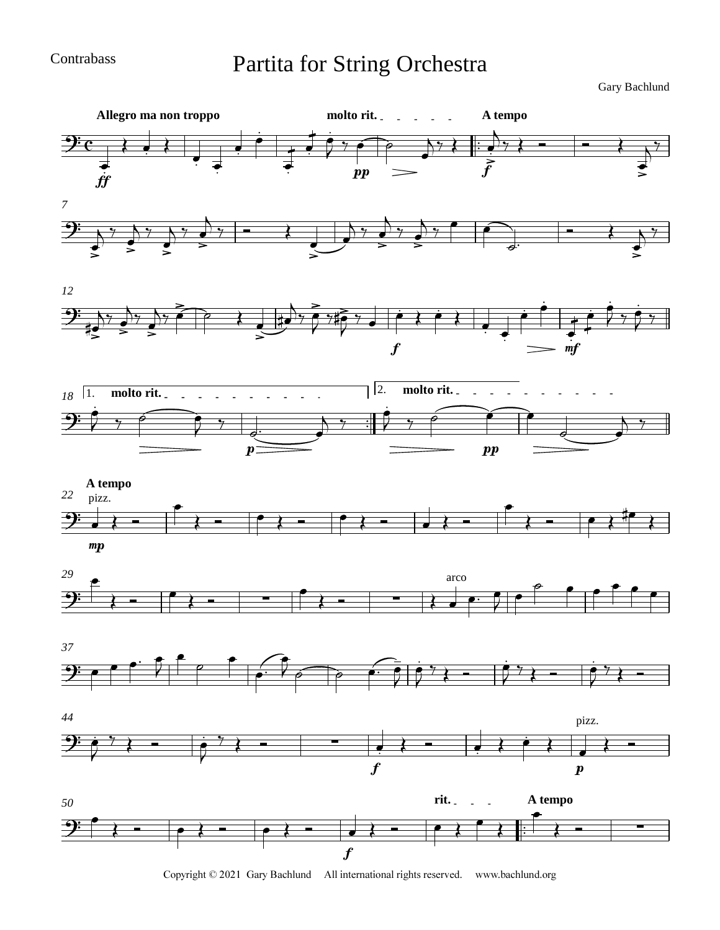Contrabass

## Partita for String Orchestra

Gary Bachlund



Copyright © 2021 Gary Bachlund All international rights reserved. www.bachlund.org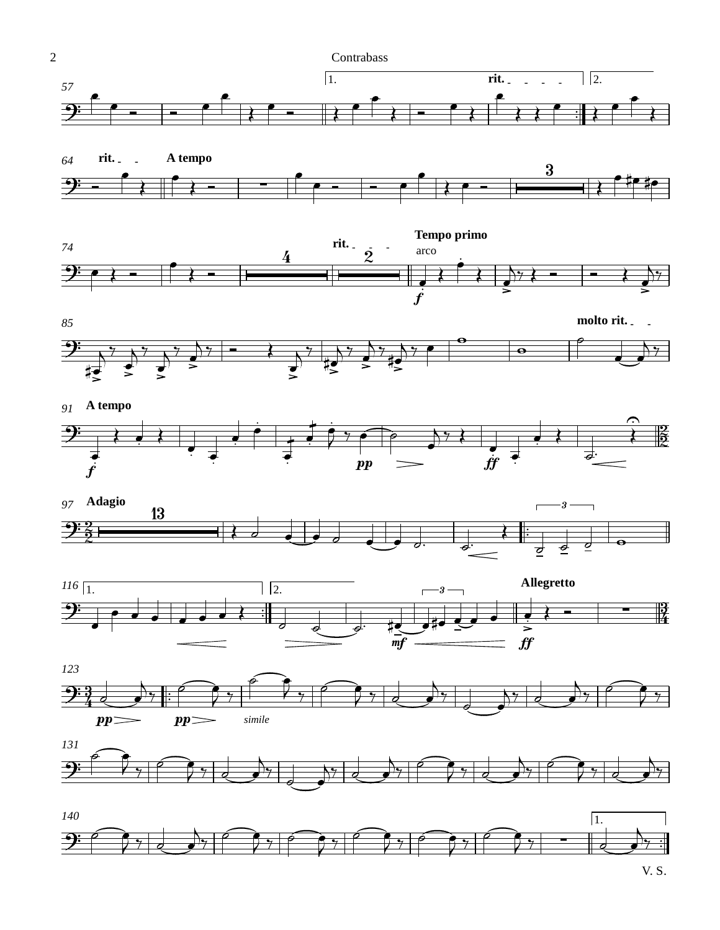

V. S.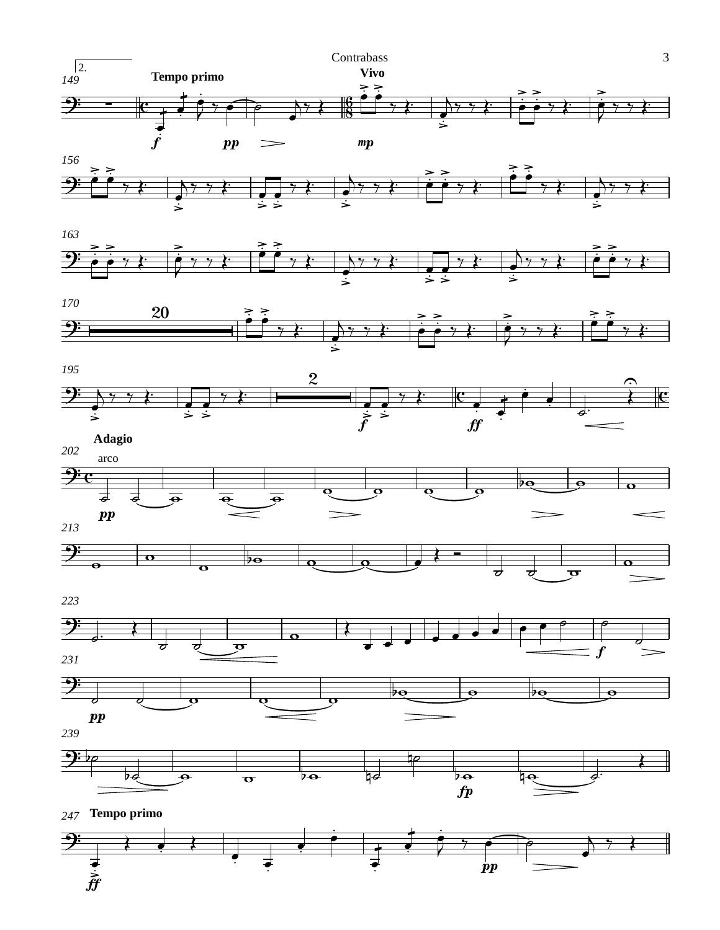





Ē

*247* **Tempo primo**

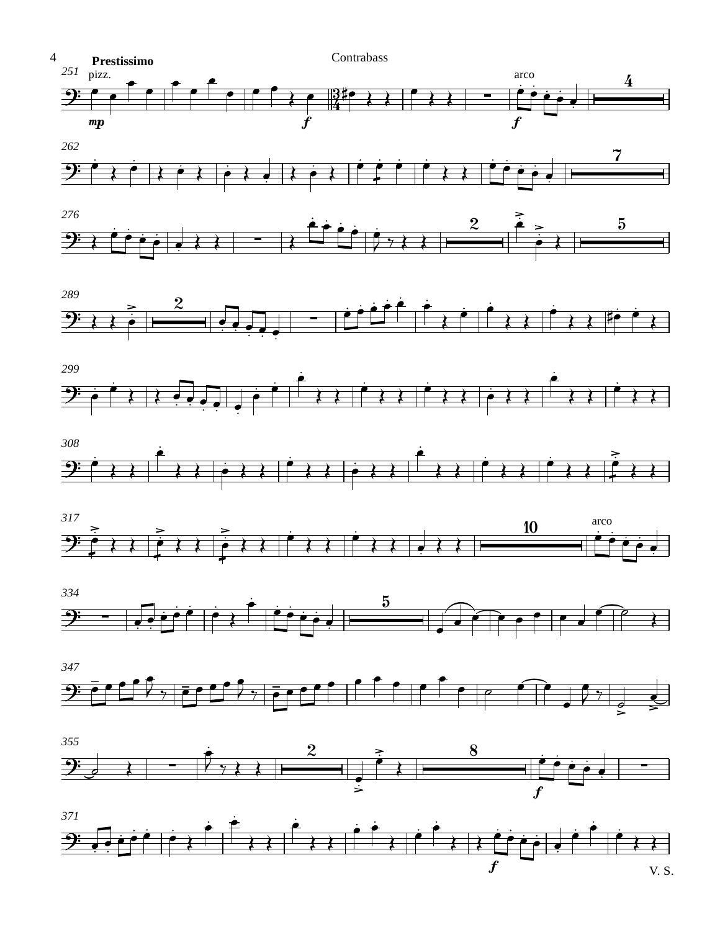